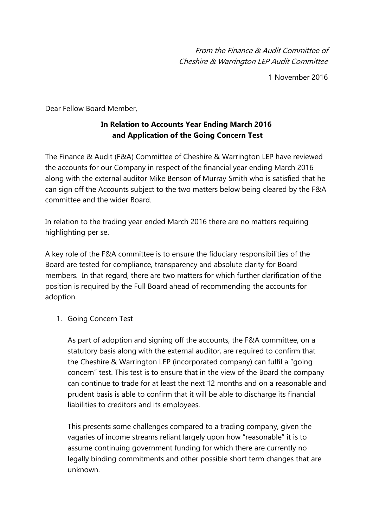From the Finance & Audit Committee of Cheshire & Warrington LEP Audit Committee

1 November 2016

Dear Fellow Board Member,

## **In Relation to Accounts Year Ending March 2016 and Application of the Going Concern Test**

The Finance & Audit (F&A) Committee of Cheshire & Warrington LEP have reviewed the accounts for our Company in respect of the financial year ending March 2016 along with the external auditor Mike Benson of Murray Smith who is satisfied that he can sign off the Accounts subject to the two matters below being cleared by the F&A committee and the wider Board.

In relation to the trading year ended March 2016 there are no matters requiring highlighting per se.

A key role of the F&A committee is to ensure the fiduciary responsibilities of the Board are tested for compliance, transparency and absolute clarity for Board members. In that regard, there are two matters for which further clarification of the position is required by the Full Board ahead of recommending the accounts for adoption.

1. Going Concern Test

As part of adoption and signing off the accounts, the F&A committee, on a statutory basis along with the external auditor, are required to confirm that the Cheshire & Warrington LEP (incorporated company) can fulfil a "going concern" test. This test is to ensure that in the view of the Board the company can continue to trade for at least the next 12 months and on a reasonable and prudent basis is able to confirm that it will be able to discharge its financial liabilities to creditors and its employees.

This presents some challenges compared to a trading company, given the vagaries of income streams reliant largely upon how "reasonable" it is to assume continuing government funding for which there are currently no legally binding commitments and other possible short term changes that are unknown.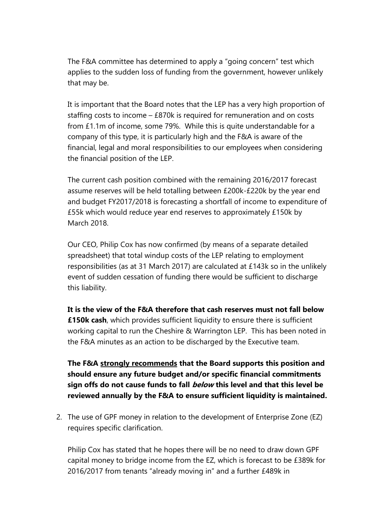The F&A committee has determined to apply a "going concern" test which applies to the sudden loss of funding from the government, however unlikely that may be.

It is important that the Board notes that the LEP has a very high proportion of staffing costs to income – £870k is required for remuneration and on costs from £1.1m of income, some 79%. While this is quite understandable for a company of this type, it is particularly high and the F&A is aware of the financial, legal and moral responsibilities to our employees when considering the financial position of the LEP.

The current cash position combined with the remaining 2016/2017 forecast assume reserves will be held totalling between £200k-£220k by the year end and budget FY2017/2018 is forecasting a shortfall of income to expenditure of £55k which would reduce year end reserves to approximately £150k by March 2018.

Our CEO, Philip Cox has now confirmed (by means of a separate detailed spreadsheet) that total windup costs of the LEP relating to employment responsibilities (as at 31 March 2017) are calculated at £143k so in the unlikely event of sudden cessation of funding there would be sufficient to discharge this liability.

**It is the view of the F&A therefore that cash reserves must not fall below £150k cash**, which provides sufficient liquidity to ensure there is sufficient working capital to run the Cheshire & Warrington LEP. This has been noted in the F&A minutes as an action to be discharged by the Executive team.

**The F&A strongly recommends that the Board supports this position and should ensure any future budget and/or specific financial commitments sign offs do not cause funds to fall below this level and that this level be reviewed annually by the F&A to ensure sufficient liquidity is maintained.**

2. The use of GPF money in relation to the development of Enterprise Zone (EZ) requires specific clarification.

Philip Cox has stated that he hopes there will be no need to draw down GPF capital money to bridge income from the EZ, which is forecast to be £389k for 2016/2017 from tenants "already moving in" and a further £489k in